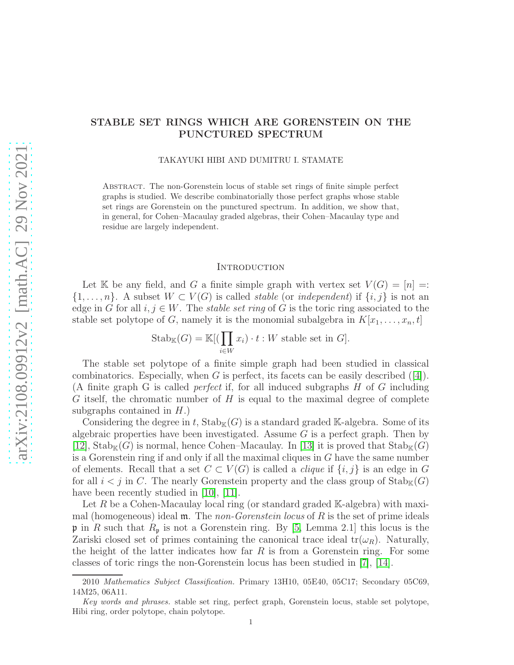# STABLE SET RINGS WHICH ARE GORENSTEIN ON THE PUNCTURED SPECTRUM

TAKAYUKI HIBI AND DUMITRU I. STAMATE

Abstract. The non-Gorenstein locus of stable set rings of finite simple perfect graphs is studied. We describe combinatorially those perfect graphs whose stable set rings are Gorenstein on the punctured spectrum. In addition, we show that, in general, for Cohen–Macaulay graded algebras, their Cohen–Macaulay type and residue are largely independent.

## **INTRODUCTION**

Let K be any field, and G a finite simple graph with vertex set  $V(G) = [n] =$ :  $\{1,\ldots,n\}$ . A subset  $W\subset V(G)$  is called *stable* (or *independent*) if  $\{i,j\}$  is not an edge in G for all  $i, j \in W$ . The *stable set ring* of G is the toric ring associated to the stable set polytope of G, namely it is the monomial subalgebra in  $K[x_1, \ldots, x_n, t]$ 

$$
Stab_{\mathbb{K}}(G) = \mathbb{K}[(\prod_{i \in W} x_i) \cdot t : W \text{ stable set in } G].
$$

The stable set polytope of a finite simple graph had been studied in classical combinatorics. Especially, when  $G$  is perfect, its facets can be easily described  $([4])$  $([4])$  $([4])$ . (A finite graph G is called *perfect* if, for all induced subgraphs H of G including G itself, the chromatic number of  $H$  is equal to the maximal degree of complete subgraphs contained in  $H$ .)

Considering the degree in t,  $\text{Stab}_{\mathbb{K}}(G)$  is a standard graded K-algebra. Some of its algebraic properties have been investigated. Assume  $G$  is a perfect graph. Then by [\[12\]](#page-5-0),  $\text{Stab}_{\mathbb{K}}(G)$  is normal, hence Cohen–Macaulay. In [\[13\]](#page-5-1) it is proved that  $\text{Stab}_{\mathbb{K}}(G)$ is a Gorenstein ring if and only if all the maximal cliques in G have the same number of elements. Recall that a set  $C \subset V(G)$  is called a *clique* if  $\{i, j\}$  is an edge in G for all  $i < j$  in C. The nearly Gorenstein property and the class group of  $\text{Stab}_{K}(G)$ have been recently studied in [\[10\]](#page-5-2), [\[11\]](#page-5-3).

Let R be a Cohen-Macaulay local ring (or standard graded  $\mathbb{K}\text{-algebra}$ ) with maximal (homogeneous) ideal m. The *non-Gorenstein locus* of R is the set of prime ideals **p** in R such that  $R_p$  is not a Gorenstein ring. By [\[5,](#page-5-4) Lemma 2.1] this locus is the Zariski closed set of primes containing the canonical trace ideal  $tr(\omega_R)$ . Naturally, the height of the latter indicates how far  $R$  is from a Gorenstein ring. For some classes of toric rings the non-Gorenstein locus has been studied in [\[7\]](#page-5-5), [\[14\]](#page-5-6).

<sup>2010</sup> Mathematics Subject Classification. Primary 13H10, 05E40, 05C17; Secondary 05C69, 14M25, 06A11.

Key words and phrases. stable set ring, perfect graph, Gorenstein locus, stable set polytope, Hibi ring, order polytope, chain polytope.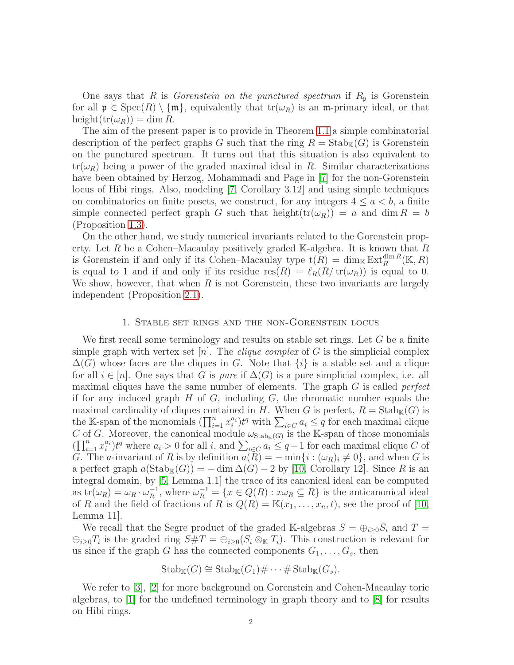One says that R is *Gorenstein on the punctured spectrum* if  $R_p$  is Gorenstein for all  $\mathfrak{p} \in \text{Spec}(R) \setminus \{\mathfrak{m}\},$  equivalently that  $\text{tr}(\omega_R)$  is an m-primary ideal, or that  $height(tr(\omega_R)) = dim R.$ 

The aim of the present paper is to provide in Theorem [1.1](#page-2-0) a simple combinatorial description of the perfect graphs G such that the ring  $R = \text{Stab}_{\mathbb{K}}(G)$  is Gorenstein on the punctured spectrum. It turns out that this situation is also equivalent to  $tr(\omega_R)$  being a power of the graded maximal ideal in R. Similar characterizations have been obtained by Herzog, Mohammadi and Page in [\[7\]](#page-5-5) for the non-Gorenstein locus of Hibi rings. Also, modeling [\[7,](#page-5-5) Corollary 3.12] and using simple techniques on combinatorics on finite posets, we construct, for any integers  $4 \le a \le b$ , a finite simple connected perfect graph G such that height $(tr(\omega_R)) = a$  and dim  $R = b$ (Proposition [1.3\)](#page-3-0).

On the other hand, we study numerical invariants related to the Gorenstein property. Let R be a Cohen–Macaulay positively graded K-algebra. It is known that R is Gorenstein if and only if its Cohen–Macaulay type  $t(R) = \dim_K \mathrm{Ext}^{\dim R}_R(\mathbb{K}, R)$ is equal to 1 and if and only if its residue  $res(R) = \ell_R(R/\text{tr}(\omega_R))$  is equal to 0. We show, however, that when  $R$  is not Gorenstein, these two invariants are largely independent (Proposition [2.1\)](#page-4-1).

## 1. Stable set rings and the non-Gorenstein locus

We first recall some terminology and results on stable set rings. Let  $G$  be a finite simple graph with vertex set  $[n]$ . The *clique complex* of G is the simplicial complex  $\Delta(G)$  whose faces are the cliques in G. Note that  $\{i\}$  is a stable set and a clique for all  $i \in [n]$ . One says that G is *pure* if  $\Delta(G)$  is a pure simplicial complex, i.e. all maximal cliques have the same number of elements. The graph G is called *perfect* if for any induced graph  $H$  of  $G$ , including  $G$ , the chromatic number equals the maximal cardinality of cliques contained in H. When G is perfect,  $R = \text{Stab}_{\mathbb{K}}(G)$  is the K-span of the monomials  $(\prod_{i=1}^n x_i^{a_i})t^q$  with  $\sum_{i \in C} a_i \leq q$  for each maximal clique C of G. Moreover, the canonical module  $\omega_{\text{Stab}_{\mathbb{K}}(G)}$  is the K-span of those monomials  $(\prod_{i=1}^n x_i^{a_i}) t^q$  where  $a_i > 0$  for all i, and  $\sum_{i \in C} a_i \leq q-1$  for each maximal clique C of G. The a-invariant of R is by definition  $a(\tilde{R}) = -\min\{i : (\omega_R)_i \neq 0\}$ , and when G is a perfect graph  $a(\text{Stab}_{\mathbb{K}}(G)) = -\dim \Delta(G) - 2$  by [\[10,](#page-5-2) Corollary 12]. Since R is an integral domain, by [\[5,](#page-5-4) Lemma 1.1] the trace of its canonical ideal can be computed as  $\text{tr}(\omega_R) = \omega_R \cdot \omega_R^{-1}$  $\mu_R^{-1}$ , where  $\omega_R^{-1} = \{x \in Q(R) : x \omega_R \subseteq R\}$  is the anticanonical ideal of R and the field of fractions of R is  $Q(R) = \mathbb{K}(x_1, \ldots, x_n, t)$ , see the proof of [\[10,](#page-5-2) Lemma 11].

We recall that the Segre product of the graded K-algebras  $S = \bigoplus_{i>0} S_i$  and  $T =$  $\bigoplus_{i\geq 0} T_i$  is the graded ring  $S\#T = \bigoplus_{i\geq 0} (S_i \otimes_{\mathbb{K}} T_i)$ . This construction is relevant for us since if the graph G has the connected components  $G_1, \ldots, G_s$ , then

$$
\mathrm{Stab}_{\mathbb{K}}(G) \cong \mathrm{Stab}_{\mathbb{K}}(G_1) \# \cdots \# \mathrm{Stab}_{\mathbb{K}}(G_s).
$$

We refer to [\[3\]](#page-4-2), [\[2\]](#page-4-3) for more background on Gorenstein and Cohen-Macaulay toric algebras, to [\[1\]](#page-4-4) for the undefined terminology in graph theory and to [\[8\]](#page-5-7) for results on Hibi rings.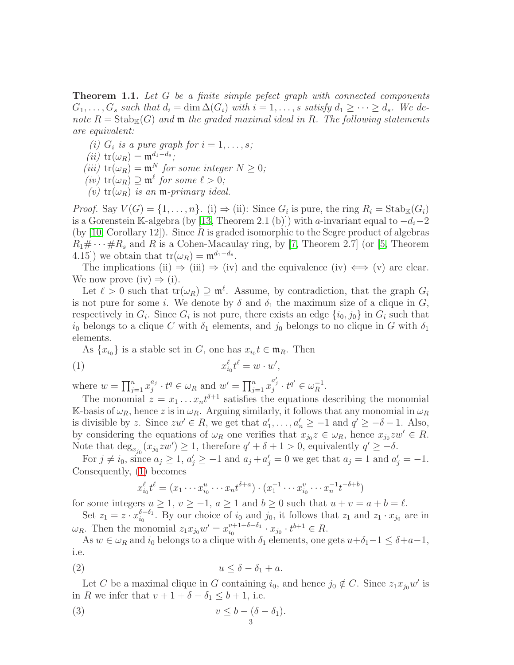<span id="page-2-0"></span>Theorem 1.1. *Let* G *be a finite simple pefect graph with connected components*  $G_1, \ldots, G_s$  *such that*  $d_i = \dim \Delta(G_i)$  *with*  $i = 1, \ldots, s$  *satisfy*  $d_1 \geq \cdots \geq d_s$ . We de*note*  $R = \text{Stab}_{\mathbb{K}}(G)$  *and*  $\mathfrak{m}$  *the graded maximal ideal in* R. The following statements *are equivalent:*

- *(i)*  $G_i$  *is a pure graph for*  $i = 1, \ldots, s$ ;
- $(iii)$  tr( $\omega_R$ ) =  $\mathfrak{m}^{d_1-d_s}$ ;
- *(iii)*  $tr(\omega_R) = m^N$  *for some integer*  $N \geq 0$ *;*
- $(iv)$  tr $(\omega_R) \supseteq \mathfrak{m}^{\ell}$  *for some*  $\ell > 0$ *;*
- $(v)$  tr( $\omega_R$ ) *is an* **m**-primary ideal.

*Proof.* Say  $V(G) = \{1, ..., n\}$ . (i)  $\Rightarrow$  (ii): Since  $G_i$  is pure, the ring  $R_i = \text{Stab}_{\mathbb{K}}(G_i)$ is a Gorenstein K-algebra (by [\[13,](#page-5-1) Theorem 2.1 (b)]) with a-invariant equal to  $-d_i-2$  $(by \mid 10, Corollary 12)$ . Since R is graded isomorphic to the Segre product of algebras  $R_1 \# \cdots \# R_s$  and R is a Cohen-Macaulay ring, by [\[7,](#page-5-5) Theorem 2.7] (or [\[5,](#page-5-4) Theorem 4.15]) we obtain that  $tr(\omega_R) = \mathfrak{m}^{d_1 - d_s}$ .

The implications (ii)  $\Rightarrow$  (iii)  $\Rightarrow$  (iv) and the equivalence (iv)  $\iff$  (v) are clear. We now prove (iv)  $\Rightarrow$  (i).

Let  $\ell > 0$  such that  $tr(\omega_R) \supseteq m^{\ell}$ . Assume, by contradiction, that the graph  $G_i$ is not pure for some i. We denote by  $\delta$  and  $\delta_1$  the maximum size of a clique in G, respectively in  $G_i$ . Since  $G_i$  is not pure, there exists an edge  $\{i_0, j_0\}$  in  $G_i$  such that  $i_0$  belongs to a clique C with  $\delta_1$  elements, and  $j_0$  belongs to no clique in G with  $\delta_1$ elements.

As  $\{x_{i_0}\}\$ is a stable set in G, one has  $x_{i_0}t \in \mathfrak{m}_R$ . Then

$$
(1) \t\t x_{i_0}^{\ell}t^{\ell} = w \cdot w',
$$

where  $w = \prod_{j=1}^n x_j^{a_j}$  $j^{a_j} \cdot t^q \in \omega_R$  and  $w' = \prod_{j=1}^n x_j^{a'_j} \cdot t^{q'} \in \omega_R^{-1}$ .

The monomial  $z = x_1 \dots x_n t^{\delta+1}$  satisfies the equations describing the monomial K-basis of  $\omega_R$ , hence z is in  $\omega_R$ . Arguing similarly, it follows that any monomial in  $\omega_R$ is divisible by z. Since  $zw' \in R$ , we get that  $a'_1, \ldots, a'_n \ge -1$  and  $q' \ge -\delta - 1$ . Also, by considering the equations of  $\omega_R$  one verifies that  $x_{j0}z \in \omega_R$ , hence  $x_{j0}zw' \in R$ . Note that  $\deg_{x_{j_0}}(x_{j_0}zw') \geq 1$ , therefore  $q' + \delta + 1 > 0$ , equivalently  $q' \geq -\delta$ .

For  $j \neq i_0$ , since  $a_j \geq 1$ ,  $a'_j \geq -1$  and  $a_j + a'_j = 0$  we get that  $a_j = 1$  and  $a'_j = -1$ . Consequently, [\(1\)](#page-2-1) becomes

<span id="page-2-3"></span><span id="page-2-1"></span>
$$
x_{i_0}^{\ell}t^{\ell} = (x_1 \cdots x_{i_0}^u \cdots x_n t^{\delta + a}) \cdot (x_1^{-1} \cdots x_{i_0}^v \cdots x_n^{-1} t^{-\delta + b})
$$

for some integers  $u > 1$ ,  $v > -1$ ,  $a > 1$  and  $b > 0$  such that  $u + v = a + b = \ell$ .

Set  $z_1 = z \cdot x_{i_0}^{\delta - \delta_1}$  $i_0^{0-\delta_1}$ . By our choice of  $i_0$  and  $j_0$ , it follows that  $z_1$  and  $z_1 \cdot x_{j_0}$  are in  $\omega_R$ . Then the monomial  $z_1 x_{j_0} w' = x_{i_0}^{v+1+\delta-\delta_1}$  $x_{i_0}^{v+1+\delta-\delta_1} \cdot x_{j_0} \cdot t^{b+1} \in R.$ 

<span id="page-2-2"></span>As  $w \in \omega_R$  and  $i_0$  belongs to a clique with  $\delta_1$  elements, one gets  $u+\delta_1-1 \leq \delta+a-1$ , i.e.

$$
(2) \t\t u \le \delta - \delta_1 + a.
$$

Let C be a maximal clique in G containing  $i_0$ , and hence  $j_0 \notin C$ . Since  $z_1 x_{j_0} w'$  is in R we infer that  $v + 1 + \delta - \delta_1 \leq b + 1$ , i.e.

(3) 
$$
v \leq b - (\delta - \delta_1).
$$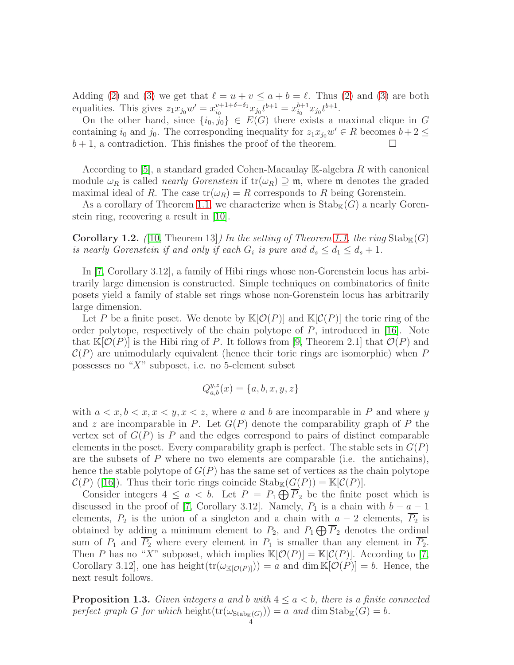Adding [\(2\)](#page-2-2) and [\(3\)](#page-2-3) we get that  $\ell = u + v \le a + b = \ell$ . Thus (2) and (3) are both equalities. This gives  $z_1 x_{j_0} w' = x_{i_0}^{\nu+1+\delta-\delta_1}$  $x_{i_0}^{v+1+\delta-\delta_1}x_{j_0}t^{b+1} = x_{i_0}^{b+1}x_{j_0}t^{b+1}.$ 

On the other hand, since  $\{i_0, j_0\} \in E(G)$  there exists a maximal clique in G containing  $i_0$  and  $j_0$ . The corresponding inequality for  $z_1x_{j_0}w' \in R$  becomes  $b+2 \leq$  $b + 1$ , a contradiction. This finishes the proof of the theorem.

According to  $[5]$ , a standard graded Cohen-Macaulay K-algebra R with canonical module  $\omega_R$  is called *nearly Gorenstein* if  $tr(\omega_R) \supseteq m$ , where m denotes the graded maximal ideal of R. The case  $tr(\omega_R) = R$  corresponds to R being Gorenstein.

As a corollary of Theorem [1.1,](#page-2-0) we characterize when is  $\operatorname{Stab}_{\mathbb{K}}(G)$  a nearly Gorenstein ring, recovering a result in [\[10\]](#page-5-2).

**Corollary 1.2.** (10, Theorem 13) In the setting of Theorem [1.1,](#page-2-0) the ring  $\text{Stab}_{K}(G)$ *is nearly Gorenstein if and only if each*  $G_i$  *is pure and*  $d_s \leq d_1 \leq d_s + 1$ *.* 

In [\[7,](#page-5-5) Corollary 3.12], a family of Hibi rings whose non-Gorenstein locus has arbitrarily large dimension is constructed. Simple techniques on combinatorics of finite posets yield a family of stable set rings whose non-Gorenstein locus has arbitrarily large dimension.

Let P be a finite poset. We denote by  $\mathbb{K}[\mathcal{O}(P)]$  and  $\mathbb{K}[\mathcal{C}(P)]$  the toric ring of the order polytope, respectively of the chain polytope of  $P$ , introduced in [\[16\]](#page-5-8). Note that  $\mathbb{K}[\mathcal{O}(P)]$  is the Hibi ring of P. It follows from [\[9,](#page-5-9) Theorem 2.1] that  $\mathcal{O}(P)$  and  $\mathcal{C}(P)$  are unimodularly equivalent (hence their toric rings are isomorphic) when P possesses no " $X$ " subposet, i.e. no 5-element subset

$$
Q_{a,b}^{y,z}(x)=\{a,b,x,y,z\}
$$

with  $a < x, b < x, x < y, x < z$ , where a and b are incomparable in P and where y and z are incomparable in P. Let  $G(P)$  denote the comparability graph of P the vertex set of  $G(P)$  is P and the edges correspond to pairs of distinct comparable elements in the poset. Every comparability graph is perfect. The stable sets in  $G(P)$ are the subsets of  $P$  where no two elements are comparable (i.e. the antichains), hence the stable polytope of  $G(P)$  has the same set of vertices as the chain polytope  $\mathcal{C}(P)$  ([\[16\]](#page-5-8)). Thus their toric rings coincide  $\mathrm{Stab}_{\mathbb{K}}(G(P)) = \mathbb{K}[\mathcal{C}(P)].$ 

Consider integers  $4 \le a < b$ . Let  $P = P_1 \bigoplus P_2$  be the finite poset which is discussed in the proof of [\[7,](#page-5-5) Corollary 3.12]. Namely,  $P_1$  is a chain with  $b - a - 1$ elements,  $P_2$  is the union of a singleton and a chain with  $a - 2$  elements,  $\overline{P_2}$  is obtained by adding a minimum element to  $P_2$ , and  $P_1 \bigoplus P_2$  denotes the ordinal sum of  $P_1$  and  $\overline{P_2}$  where every element in  $P_1$  is smaller than any element in  $\overline{P_2}$ . Then P has no "X" subposet, which implies  $\mathbb{K}[\mathcal{O}(P)] = \mathbb{K}[\mathcal{C}(P)]$ . According to [\[7,](#page-5-5) Corollary 3.12], one has height $(tr(\omega_{\mathbb{K}[\mathcal{O}(P)])}) = a$  and dim  $\mathbb{K}[\mathcal{O}(P)] = b$ . Hence, the next result follows.

<span id="page-3-0"></span>**Proposition 1.3.** Given integers a and b with  $4 \le a \le b$ , there is a finite connected *perfect graph* G *for which* height $(tr(\omega_{Stab_{\mathbb{K}}(G)})) = a$  *and* dim  $Stab_{\mathbb{K}}(G) = b$ *.*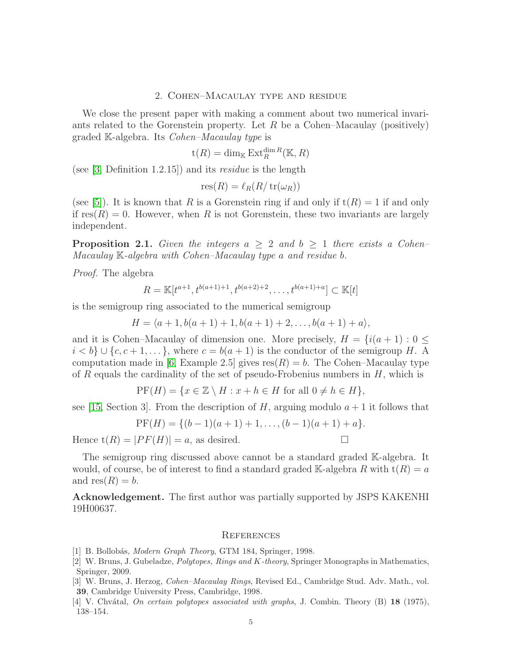### 2. Cohen–Macaulay type and residue

We close the present paper with making a comment about two numerical invariants related to the Gorenstein property. Let R be a Cohen–Macaulay (positively) graded K-algebra. Its *Cohen–Macaulay type* is

$$
\mathsf t (R) = \dim_{\mathbb K} \operatorname{Ext}_R^{\dim R}({\mathbb K},R)
$$

(see [\[3,](#page-4-2) Definition 1.2.15]) and its *residue* is the length

$$
res(R) = \ell_R(R/\operatorname{tr}(\omega_R))
$$

(see [\[5\]](#page-5-4)). It is known that R is a Gorenstein ring if and only if  $t(R) = 1$  if and only if  $res(R) = 0$ . However, when R is not Gorenstein, these two invariants are largely independent.

<span id="page-4-1"></span>**Proposition 2.1.** *Given the integers*  $a \geq 2$  *and*  $b \geq 1$  *there exists* a *Cohen– Macaulay* K*-algebra with Cohen–Macaulay type* a *and residue* b*.*

*Proof.* The algebra

$$
R = \mathbb{K}[t^{a+1}, t^{b(a+1)+1}, t^{b(a+2)+2}, \dots, t^{b(a+1)+a}] \subset \mathbb{K}[t]
$$

is the semigroup ring associated to the numerical semigroup

$$
H = \langle a+1, b(a+1)+1, b(a+1)+2, \ldots, b(a+1)+a \rangle,
$$

and it is Cohen–Macaulay of dimension one. More precisely,  $H = \{i(a + 1) : 0 \leq$  $i < b$   $\cup$  {c, c + 1, ...}, where  $c = b(a + 1)$  is the conductor of the semigroup H. A computation made in [\[6,](#page-5-10) Example 2.5] gives  $res(R) = b$ . The Cohen–Macaulay type of R equals the cardinality of the set of pseudo-Frobenius numbers in  $H$ , which is

$$
PF(H) = \{ x \in \mathbb{Z} \setminus H : x + h \in H \text{ for all } 0 \neq h \in H \},
$$

see [\[15,](#page-5-11) Section 3]. From the description of H, arguing modulo  $a+1$  it follows that

$$
PF(H) = \{ (b-1)(a+1) + 1, \ldots, (b-1)(a+1) + a \}.
$$

Hence  $t(R) = |PF(H)| = a$ , as desired.

The semigroup ring discussed above cannot be a standard graded K-algebra. It would, of course, be of interest to find a standard graded K-algebra R with  $t(R) = a$ and  $res(R) = b$ .

Acknowledgement. The first author was partially supported by JSPS KAKENHI 19H00637.

### **REFERENCES**

- <span id="page-4-4"></span><span id="page-4-3"></span>[1] B. Bollobás, *Modern Graph Theory*, GTM 184, Springer, 1998.
- [2] W. Bruns, J. Gubeladze, Polytopes, Rings and K-theory, Springer Monographs in Mathematics, Springer, 2009.
- <span id="page-4-2"></span>[3] W. Bruns, J. Herzog, Cohen–Macaulay Rings, Revised Ed., Cambridge Stud. Adv. Math., vol. 39, Cambridge University Press, Cambridge, 1998.
- <span id="page-4-0"></span>[4] V. Chvátal, On certain polytopes associated with graphs, J. Combin. Theory  $(B)$  18 (1975), 138–154.